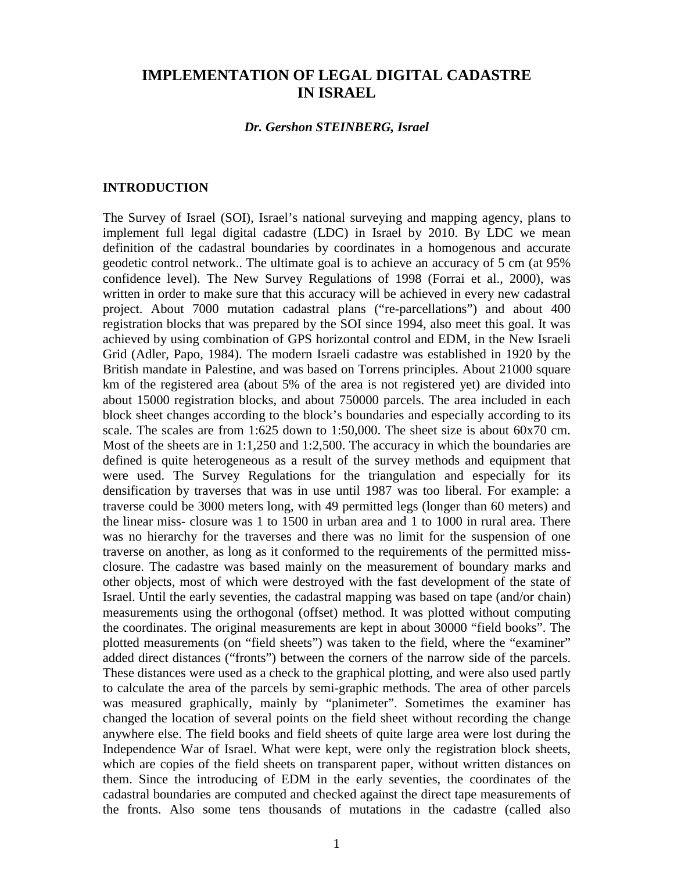# **IMPLEMENTATION OF LEGAL DIGITAL CADASTRE IN ISRAEL**

#### *Dr. Gershon STEINBERG, Israel*

### **INTRODUCTION**

The Survey of Israel (SOI), Israel's national surveying and mapping agency, plans to implement full legal digital cadastre (LDC) in Israel by 2010. By LDC we mean definition of the cadastral boundaries by coordinates in a homogenous and accurate geodetic control network.. The ultimate goal is to achieve an accuracy of 5 cm (at 95% confidence level). The New Survey Regulations of 1998 (Forrai et al., 2000), was written in order to make sure that this accuracy will be achieved in every new cadastral project. About 7000 mutation cadastral plans ("re-parcellations") and about 400 registration blocks that was prepared by the SOI since 1994, also meet this goal. It was achieved by using combination of GPS horizontal control and EDM, in the New Israeli Grid (Adler, Papo, 1984). The modern Israeli cadastre was established in 1920 by the British mandate in Palestine, and was based on Torrens principles. About 21000 square km of the registered area (about 5% of the area is not registered yet) are divided into about 15000 registration blocks, and about 750000 parcels. The area included in each block sheet changes according to the block's boundaries and especially according to its scale. The scales are from 1:625 down to 1:50,000. The sheet size is about 60x70 cm. Most of the sheets are in 1:1,250 and 1:2,500. The accuracy in which the boundaries are defined is quite heterogeneous as a result of the survey methods and equipment that were used. The Survey Regulations for the triangulation and especially for its densification by traverses that was in use until 1987 was too liberal. For example: a traverse could be 3000 meters long, with 49 permitted legs (longer than 60 meters) and the linear miss- closure was 1 to 1500 in urban area and 1 to 1000 in rural area. There was no hierarchy for the traverses and there was no limit for the suspension of one traverse on another, as long as it conformed to the requirements of the permitted missclosure. The cadastre was based mainly on the measurement of boundary marks and other objects, most of which were destroyed with the fast development of the state of Israel. Until the early seventies, the cadastral mapping was based on tape (and/or chain) measurements using the orthogonal (offset) method. It was plotted without computing the coordinates. The original measurements are kept in about 30000 "field books". The plotted measurements (on "field sheets") was taken to the field, where the "examiner" added direct distances ("fronts") between the corners of the narrow side of the parcels. These distances were used as a check to the graphical plotting, and were also used partly to calculate the area of the parcels by semi-graphic methods. The area of other parcels was measured graphically, mainly by "planimeter". Sometimes the examiner has changed the location of several points on the field sheet without recording the change anywhere else. The field books and field sheets of quite large area were lost during the Independence War of Israel. What were kept, were only the registration block sheets, which are copies of the field sheets on transparent paper, without written distances on them. Since the introducing of EDM in the early seventies, the coordinates of the cadastral boundaries are computed and checked against the direct tape measurements of the fronts. Also some tens thousands of mutations in the cadastre (called also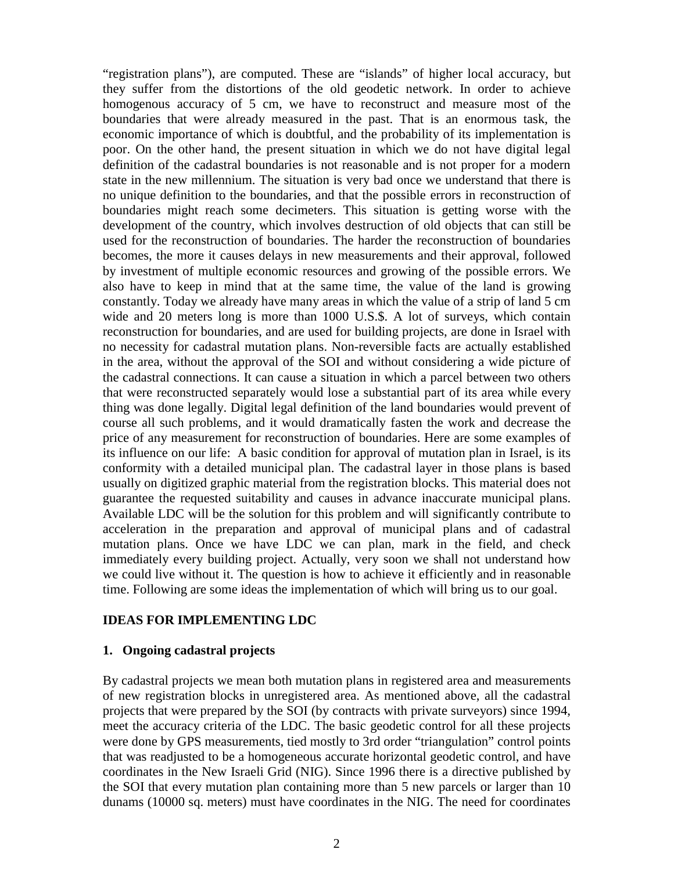"registration plans"), are computed. These are "islands" of higher local accuracy, but they suffer from the distortions of the old geodetic network. In order to achieve homogenous accuracy of 5 cm, we have to reconstruct and measure most of the boundaries that were already measured in the past. That is an enormous task, the economic importance of which is doubtful, and the probability of its implementation is poor. On the other hand, the present situation in which we do not have digital legal definition of the cadastral boundaries is not reasonable and is not proper for a modern state in the new millennium. The situation is very bad once we understand that there is no unique definition to the boundaries, and that the possible errors in reconstruction of boundaries might reach some decimeters. This situation is getting worse with the development of the country, which involves destruction of old objects that can still be used for the reconstruction of boundaries. The harder the reconstruction of boundaries becomes, the more it causes delays in new measurements and their approval, followed by investment of multiple economic resources and growing of the possible errors. We also have to keep in mind that at the same time, the value of the land is growing constantly. Today we already have many areas in which the value of a strip of land 5 cm wide and 20 meters long is more than 1000 U.S.\$. A lot of surveys, which contain reconstruction for boundaries, and are used for building projects, are done in Israel with no necessity for cadastral mutation plans. Non-reversible facts are actually established in the area, without the approval of the SOI and without considering a wide picture of the cadastral connections. It can cause a situation in which a parcel between two others that were reconstructed separately would lose a substantial part of its area while every thing was done legally. Digital legal definition of the land boundaries would prevent of course all such problems, and it would dramatically fasten the work and decrease the price of any measurement for reconstruction of boundaries. Here are some examples of its influence on our life: A basic condition for approval of mutation plan in Israel, is its conformity with a detailed municipal plan. The cadastral layer in those plans is based usually on digitized graphic material from the registration blocks. This material does not guarantee the requested suitability and causes in advance inaccurate municipal plans. Available LDC will be the solution for this problem and will significantly contribute to acceleration in the preparation and approval of municipal plans and of cadastral mutation plans. Once we have LDC we can plan, mark in the field, and check immediately every building project. Actually, very soon we shall not understand how we could live without it. The question is how to achieve it efficiently and in reasonable time. Following are some ideas the implementation of which will bring us to our goal.

### **IDEAS FOR IMPLEMENTING LDC**

### **1. Ongoing cadastral projects**

By cadastral projects we mean both mutation plans in registered area and measurements of new registration blocks in unregistered area. As mentioned above, all the cadastral projects that were prepared by the SOI (by contracts with private surveyors) since 1994, meet the accuracy criteria of the LDC. The basic geodetic control for all these projects were done by GPS measurements, tied mostly to 3rd order "triangulation" control points that was readjusted to be a homogeneous accurate horizontal geodetic control, and have coordinates in the New Israeli Grid (NIG). Since 1996 there is a directive published by the SOI that every mutation plan containing more than 5 new parcels or larger than 10 dunams (10000 sq. meters) must have coordinates in the NIG. The need for coordinates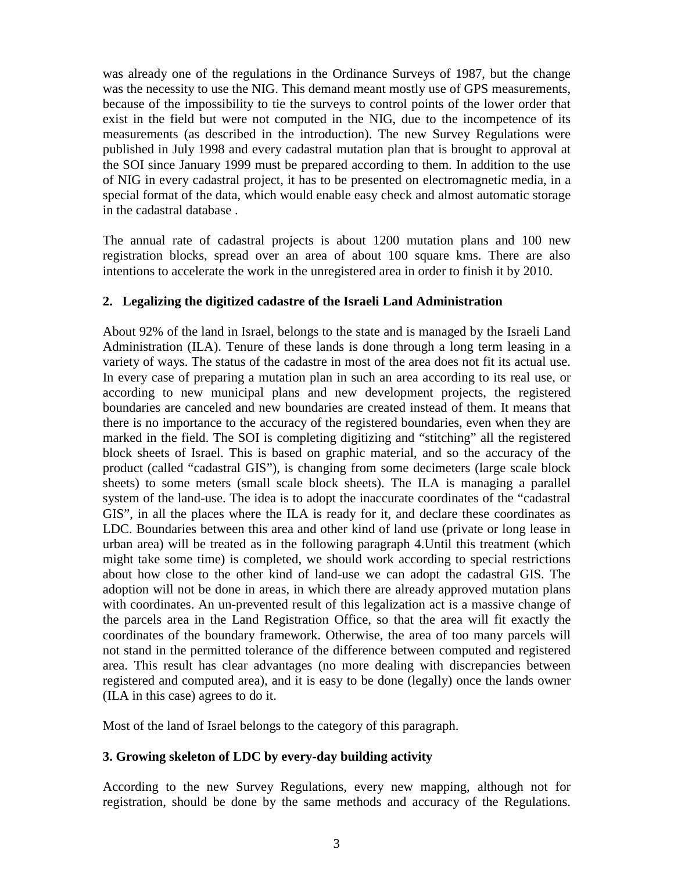was already one of the regulations in the Ordinance Surveys of 1987, but the change was the necessity to use the NIG. This demand meant mostly use of GPS measurements, because of the impossibility to tie the surveys to control points of the lower order that exist in the field but were not computed in the NIG, due to the incompetence of its measurements (as described in the introduction). The new Survey Regulations were published in July 1998 and every cadastral mutation plan that is brought to approval at the SOI since January 1999 must be prepared according to them. In addition to the use of NIG in every cadastral project, it has to be presented on electromagnetic media, in a special format of the data, which would enable easy check and almost automatic storage in the cadastral database .

The annual rate of cadastral projects is about 1200 mutation plans and 100 new registration blocks, spread over an area of about 100 square kms. There are also intentions to accelerate the work in the unregistered area in order to finish it by 2010.

# **2. Legalizing the digitized cadastre of the Israeli Land Administration**

About 92% of the land in Israel, belongs to the state and is managed by the Israeli Land Administration (ILA). Tenure of these lands is done through a long term leasing in a variety of ways. The status of the cadastre in most of the area does not fit its actual use. In every case of preparing a mutation plan in such an area according to its real use, or according to new municipal plans and new development projects, the registered boundaries are canceled and new boundaries are created instead of them. It means that there is no importance to the accuracy of the registered boundaries, even when they are marked in the field. The SOI is completing digitizing and "stitching" all the registered block sheets of Israel. This is based on graphic material, and so the accuracy of the product (called "cadastral GIS"), is changing from some decimeters (large scale block sheets) to some meters (small scale block sheets). The ILA is managing a parallel system of the land-use. The idea is to adopt the inaccurate coordinates of the "cadastral GIS", in all the places where the ILA is ready for it, and declare these coordinates as LDC. Boundaries between this area and other kind of land use (private or long lease in urban area) will be treated as in the following paragraph 4.Until this treatment (which might take some time) is completed, we should work according to special restrictions about how close to the other kind of land-use we can adopt the cadastral GIS. The adoption will not be done in areas, in which there are already approved mutation plans with coordinates. An un-prevented result of this legalization act is a massive change of the parcels area in the Land Registration Office, so that the area will fit exactly the coordinates of the boundary framework. Otherwise, the area of too many parcels will not stand in the permitted tolerance of the difference between computed and registered area. This result has clear advantages (no more dealing with discrepancies between registered and computed area), and it is easy to be done (legally) once the lands owner (ILA in this case) agrees to do it.

Most of the land of Israel belongs to the category of this paragraph.

# **3. Growing skeleton of LDC by every-day building activity**

According to the new Survey Regulations, every new mapping, although not for registration, should be done by the same methods and accuracy of the Regulations.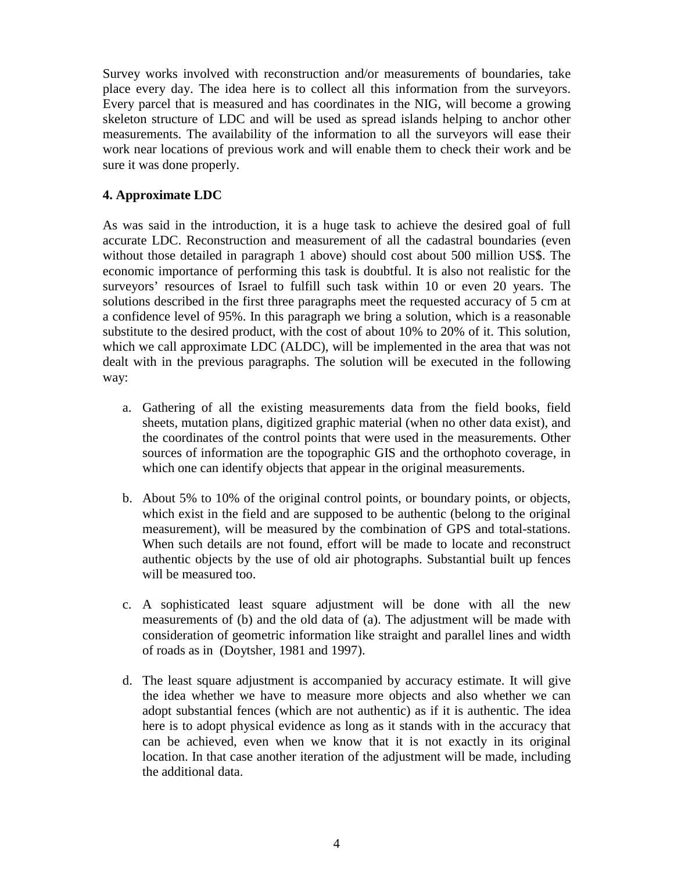Survey works involved with reconstruction and/or measurements of boundaries, take place every day. The idea here is to collect all this information from the surveyors. Every parcel that is measured and has coordinates in the NIG, will become a growing skeleton structure of LDC and will be used as spread islands helping to anchor other measurements. The availability of the information to all the surveyors will ease their work near locations of previous work and will enable them to check their work and be sure it was done properly.

# **4. Approximate LDC**

As was said in the introduction, it is a huge task to achieve the desired goal of full accurate LDC. Reconstruction and measurement of all the cadastral boundaries (even without those detailed in paragraph 1 above) should cost about 500 million US\$. The economic importance of performing this task is doubtful. It is also not realistic for the surveyors' resources of Israel to fulfill such task within 10 or even 20 years. The solutions described in the first three paragraphs meet the requested accuracy of 5 cm at a confidence level of 95%. In this paragraph we bring a solution, which is a reasonable substitute to the desired product, with the cost of about 10% to 20% of it. This solution, which we call approximate LDC (ALDC), will be implemented in the area that was not dealt with in the previous paragraphs. The solution will be executed in the following way:

- a. Gathering of all the existing measurements data from the field books, field sheets, mutation plans, digitized graphic material (when no other data exist), and the coordinates of the control points that were used in the measurements. Other sources of information are the topographic GIS and the orthophoto coverage, in which one can identify objects that appear in the original measurements.
- b. About 5% to 10% of the original control points, or boundary points, or objects, which exist in the field and are supposed to be authentic (belong to the original measurement), will be measured by the combination of GPS and total-stations. When such details are not found, effort will be made to locate and reconstruct authentic objects by the use of old air photographs. Substantial built up fences will be measured too.
- c. A sophisticated least square adjustment will be done with all the new measurements of (b) and the old data of (a). The adjustment will be made with consideration of geometric information like straight and parallel lines and width of roads as in (Doytsher, 1981 and 1997).
- d. The least square adjustment is accompanied by accuracy estimate. It will give the idea whether we have to measure more objects and also whether we can adopt substantial fences (which are not authentic) as if it is authentic. The idea here is to adopt physical evidence as long as it stands with in the accuracy that can be achieved, even when we know that it is not exactly in its original location. In that case another iteration of the adjustment will be made, including the additional data.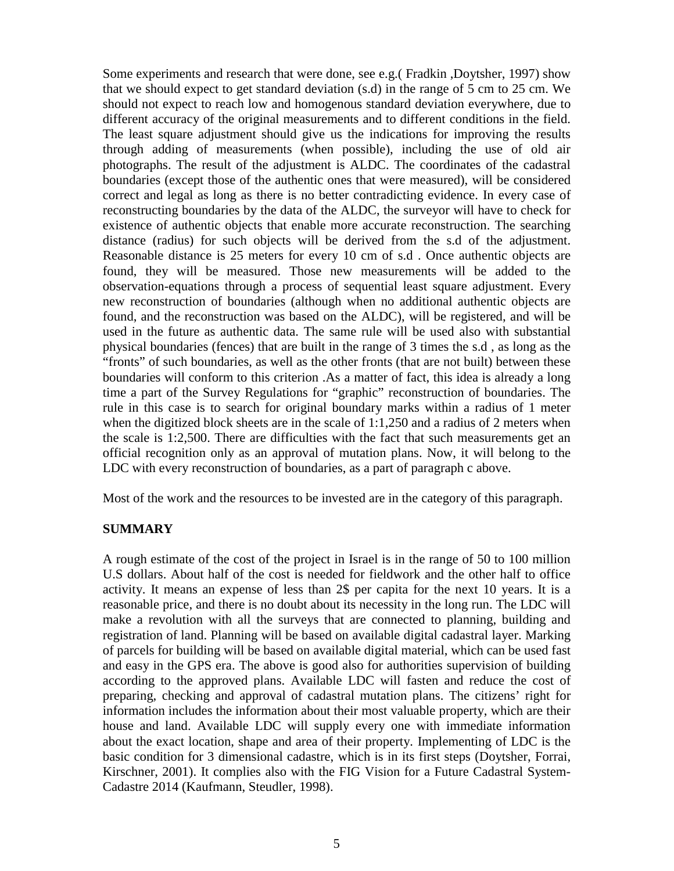Some experiments and research that were done, see e.g.( Fradkin ,Doytsher, 1997) show that we should expect to get standard deviation (s.d) in the range of 5 cm to 25 cm. We should not expect to reach low and homogenous standard deviation everywhere, due to different accuracy of the original measurements and to different conditions in the field. The least square adjustment should give us the indications for improving the results through adding of measurements (when possible), including the use of old air photographs. The result of the adjustment is ALDC. The coordinates of the cadastral boundaries (except those of the authentic ones that were measured), will be considered correct and legal as long as there is no better contradicting evidence. In every case of reconstructing boundaries by the data of the ALDC, the surveyor will have to check for existence of authentic objects that enable more accurate reconstruction. The searching distance (radius) for such objects will be derived from the s.d of the adjustment. Reasonable distance is 25 meters for every 10 cm of s.d . Once authentic objects are found, they will be measured. Those new measurements will be added to the observation-equations through a process of sequential least square adjustment. Every new reconstruction of boundaries (although when no additional authentic objects are found, and the reconstruction was based on the ALDC), will be registered, and will be used in the future as authentic data. The same rule will be used also with substantial physical boundaries (fences) that are built in the range of 3 times the s.d , as long as the "fronts" of such boundaries, as well as the other fronts (that are not built) between these boundaries will conform to this criterion .As a matter of fact, this idea is already a long time a part of the Survey Regulations for "graphic" reconstruction of boundaries. The rule in this case is to search for original boundary marks within a radius of 1 meter when the digitized block sheets are in the scale of 1:1,250 and a radius of 2 meters when the scale is 1:2,500. There are difficulties with the fact that such measurements get an official recognition only as an approval of mutation plans. Now, it will belong to the LDC with every reconstruction of boundaries, as a part of paragraph c above.

Most of the work and the resources to be invested are in the category of this paragraph.

# **SUMMARY**

A rough estimate of the cost of the project in Israel is in the range of 50 to 100 million U.S dollars. About half of the cost is needed for fieldwork and the other half to office activity. It means an expense of less than 2\$ per capita for the next 10 years. It is a reasonable price, and there is no doubt about its necessity in the long run. The LDC will make a revolution with all the surveys that are connected to planning, building and registration of land. Planning will be based on available digital cadastral layer. Marking of parcels for building will be based on available digital material, which can be used fast and easy in the GPS era. The above is good also for authorities supervision of building according to the approved plans. Available LDC will fasten and reduce the cost of preparing, checking and approval of cadastral mutation plans. The citizens' right for information includes the information about their most valuable property, which are their house and land. Available LDC will supply every one with immediate information about the exact location, shape and area of their property. Implementing of LDC is the basic condition for 3 dimensional cadastre, which is in its first steps (Doytsher, Forrai, Kirschner, 2001). It complies also with the FIG Vision for a Future Cadastral System-Cadastre 2014 (Kaufmann, Steudler, 1998).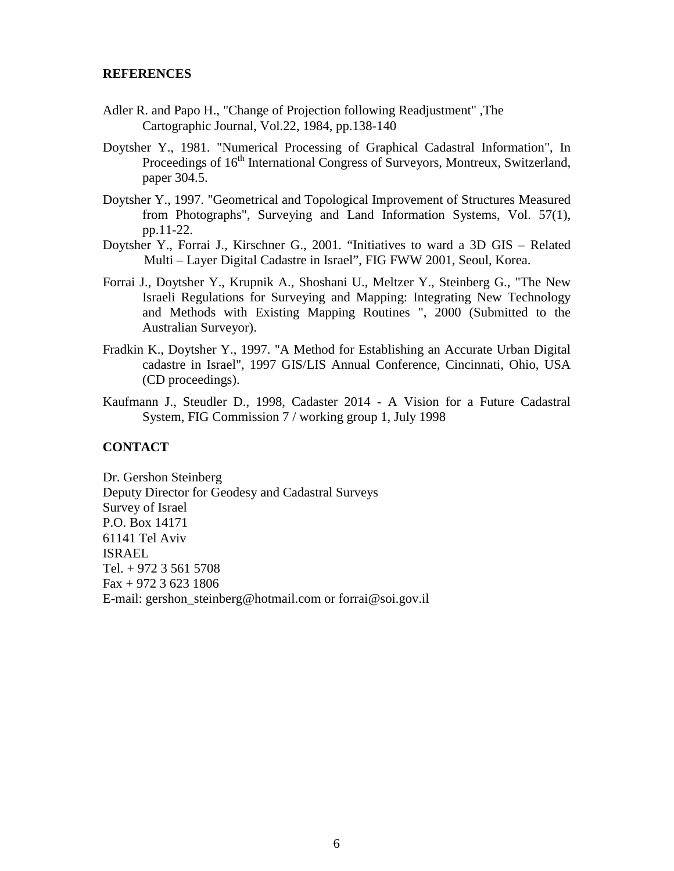### **REFERENCES**

- Adler R. and Papo H., "Change of Projection following Readjustment" ,The Cartographic Journal, Vol.22, 1984, pp.138-140
- Doytsher Y., 1981. "Numerical Processing of Graphical Cadastral Information", In Proceedings of 16<sup>th</sup> International Congress of Surveyors, Montreux, Switzerland, paper 304.5.
- Doytsher Y., 1997. "Geometrical and Topological Improvement of Structures Measured from Photographs", Surveying and Land Information Systems, Vol. 57(1), pp.11-22.
- Doytsher Y., Forrai J., Kirschner G., 2001. "Initiatives to ward a 3D GIS Related Multi – Layer Digital Cadastre in Israel", FIG FWW 2001, Seoul, Korea.
- Forrai J., Doytsher Y., Krupnik A., Shoshani U., Meltzer Y., Steinberg G., "The New Israeli Regulations for Surveying and Mapping: Integrating New Technology and Methods with Existing Mapping Routines ", 2000 (Submitted to the Australian Surveyor).
- Fradkin K., Doytsher Y., 1997. "A Method for Establishing an Accurate Urban Digital cadastre in Israel", 1997 GIS/LIS Annual Conference, Cincinnati, Ohio, USA (CD proceedings).
- Kaufmann J., Steudler D., 1998, Cadaster 2014 A Vision for a Future Cadastral System, FIG Commission 7 / working group 1, July 1998

### **CONTACT**

Dr. Gershon Steinberg Deputy Director for Geodesy and Cadastral Surveys Survey of Israel P.O. Box 14171 61141 Tel Aviv ISRAEL Tel. + 972 3 561 5708  $Fax + 97236231806$ E-mail: gershon\_steinberg@hotmail.com or forrai@soi.gov.il